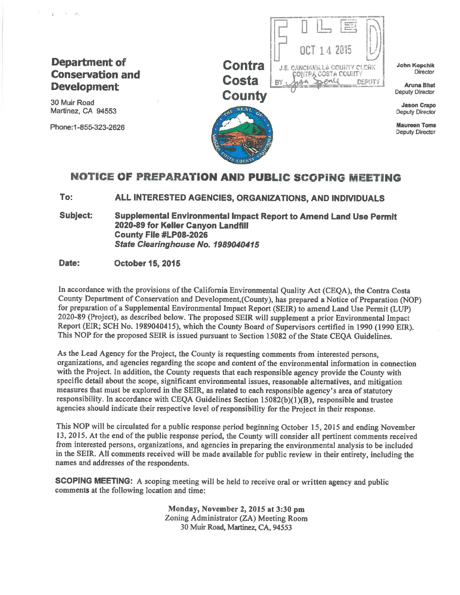#### **Department of Conservation and Development**

30 Muir Road Martinez, CA 94553

 $\tilde{q}_\perp$  .  $\mathcal{M}=\mathcal{M}_{\mathrm{B}}$ 

Phone: 1-855-323-2626



**John Kopchik Director** 

**Aruna Bhat Deputy Director** 

**DEPUTY** 

**Jason Crapo Deputy Director** 

**Maureen Toms Deputy Director** 

#### **NOTICE OF PREPARATION AND PUBLIC SCOPING MEETING**

To: ALL INTERESTED AGENCIES, ORGANIZATIONS, AND INDIVIDUALS

**Subject:** Supplemental Environmental Impact Report to Amend Land Use Permit 2020-89 for Keller Canyon Landfill County File #LP08-2026 State Clearinghouse No. 1989040415

#### Date: **October 15, 2015**

In accordance with the provisions of the California Environmental Quality Act (CEOA), the Contra Costa County Department of Conservation and Development, (County), has prepared a Notice of Preparation (NOP) for preparation of a Supplemental Environmental Impact Report (SEIR) to amend Land Use Permit (LUP) 2020-89 (Project), as described below. The proposed SEIR will supplement a prior Environmental Impact Report (EIR; SCH No. 1989040415), which the County Board of Supervisors certified in 1990 (1990 EIR). This NOP for the proposed SEIR is issued pursuant to Section 15082 of the State CEOA Guidelines.

As the Lead Agency for the Project, the County is requesting comments from interested persons, organizations, and agencies regarding the scope and content of the environmental information in connection with the Project. In addition, the County requests that each responsible agency provide the County with specific detail about the scope, significant environmental issues, reasonable alternatives, and mitigation measures that must be explored in the SEIR, as related to each responsible agency's area of statutory responsibility. In accordance with CEQA Guidelines Section 15082(b)(1)(B), responsible and trustee agencies should indicate their respective level of responsibility for the Project in their response.

This NOP will be circulated for a public response period beginning October 15, 2015 and ending November 13, 2015. At the end of the public response period, the County will consider all pertinent comments received from interested persons, organizations, and agencies in preparing the environmental analysis to be included in the SEIR. All comments received will be made available for public review in their entirety, including the names and addresses of the respondents.

**SCOPING MEETING:** A scoping meeting will be held to receive oral or written agency and public comments at the following location and time:

> Monday, November 2, 2015 at 3:30 pm Zoning Administrator (ZA) Meeting Room 30 Muir Road, Martinez, CA, 94553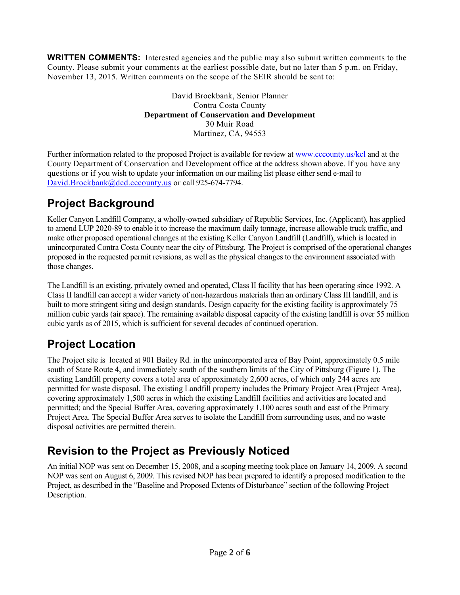**WRITTEN COMMENTS:** Interested agencies and the public may also submit written comments to the County. Please submit your comments at the earliest possible date, but no later than 5 p.m. on Friday, November 13, 2015. Written comments on the scope of the SEIR should be sent to:

> David Brockbank, Senior Planner Contra Costa County **Department of Conservation and Development**  30 Muir Road Martinez, CA, 94553

Further information related to the proposed Project is available for review at www.cccounty.us/kcl and at the County Department of Conservation and Development office at the address shown above. If you have any questions or if you wish to update your information on our mailing list please either send e-mail to David.Brockbank@dcd.cccounty.us or call 925-674-7794.

#### **Project Background**

Keller Canyon Landfill Company, a wholly-owned subsidiary of Republic Services, Inc. (Applicant), has applied to amend LUP 2020-89 to enable it to increase the maximum daily tonnage, increase allowable truck traffic, and make other proposed operational changes at the existing Keller Canyon Landfill (Landfill), which is located in unincorporated Contra Costa County near the city of Pittsburg. The Project is comprised of the operational changes proposed in the requested permit revisions, as well as the physical changes to the environment associated with those changes.

The Landfill is an existing, privately owned and operated, Class II facility that has been operating since 1992. A Class II landfill can accept a wider variety of non-hazardous materials than an ordinary Class III landfill, and is built to more stringent siting and design standards. Design capacity for the existing facility is approximately 75 million cubic yards (air space). The remaining available disposal capacity of the existing landfill is over 55 million cubic yards as of 2015, which is sufficient for several decades of continued operation.

# **Project Location**

The Project site is located at 901 Bailey Rd. in the unincorporated area of Bay Point, approximately 0.5 mile south of State Route 4, and immediately south of the southern limits of the City of Pittsburg (Figure 1). The existing Landfill property covers a total area of approximately 2,600 acres, of which only 244 acres are permitted for waste disposal. The existing Landfill property includes the Primary Project Area (Project Area), covering approximately 1,500 acres in which the existing Landfill facilities and activities are located and permitted; and the Special Buffer Area, covering approximately 1,100 acres south and east of the Primary Project Area. The Special Buffer Area serves to isolate the Landfill from surrounding uses, and no waste disposal activities are permitted therein.

### **Revision to the Project as Previously Noticed**

An initial NOP was sent on December 15, 2008, and a scoping meeting took place on January 14, 2009. A second NOP was sent on August 6, 2009. This revised NOP has been prepared to identify a proposed modification to the Project, as described in the "Baseline and Proposed Extents of Disturbance" section of the following Project Description.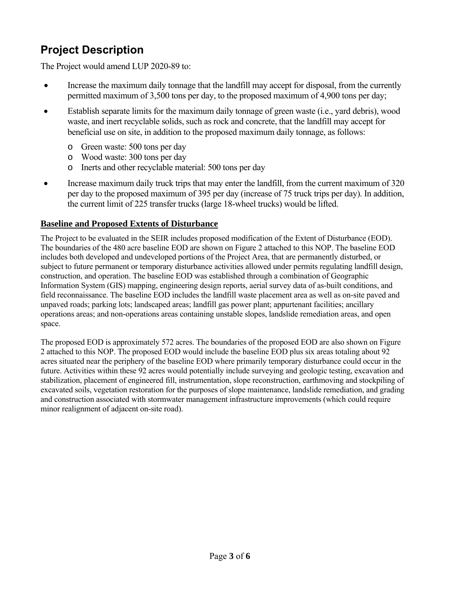# **Project Description**

The Project would amend LUP 2020-89 to:

- Increase the maximum daily tonnage that the landfill may accept for disposal, from the currently permitted maximum of 3,500 tons per day, to the proposed maximum of 4,900 tons per day;
- Establish separate limits for the maximum daily tonnage of green waste (i.e., yard debris), wood waste, and inert recyclable solids, such as rock and concrete, that the landfill may accept for beneficial use on site, in addition to the proposed maximum daily tonnage, as follows:
	- o Green waste: 500 tons per day
	- o Wood waste: 300 tons per day
	- o Inerts and other recyclable material: 500 tons per day
- Increase maximum daily truck trips that may enter the landfill, from the current maximum of 320 per day to the proposed maximum of 395 per day (increase of 75 truck trips per day). In addition, the current limit of 225 transfer trucks (large 18-wheel trucks) would be lifted.

#### **Baseline and Proposed Extents of Disturbance**

The Project to be evaluated in the SEIR includes proposed modification of the Extent of Disturbance (EOD). The boundaries of the 480 acre baseline EOD are shown on Figure 2 attached to this NOP. The baseline EOD includes both developed and undeveloped portions of the Project Area, that are permanently disturbed, or subject to future permanent or temporary disturbance activities allowed under permits regulating landfill design, construction, and operation. The baseline EOD was established through a combination of Geographic Information System (GIS) mapping, engineering design reports, aerial survey data of as-built conditions, and field reconnaissance. The baseline EOD includes the landfill waste placement area as well as on-site paved and unpaved roads; parking lots; landscaped areas; landfill gas power plant; appurtenant facilities; ancillary operations areas; and non-operations areas containing unstable slopes, landslide remediation areas, and open space.

The proposed EOD is approximately 572 acres. The boundaries of the proposed EOD are also shown on Figure 2 attached to this NOP. The proposed EOD would include the baseline EOD plus six areas totaling about 92 acres situated near the periphery of the baseline EOD where primarily temporary disturbance could occur in the future. Activities within these 92 acres would potentially include surveying and geologic testing, excavation and stabilization, placement of engineered fill, instrumentation, slope reconstruction, earthmoving and stockpiling of excavated soils, vegetation restoration for the purposes of slope maintenance, landslide remediation, and grading and construction associated with stormwater management infrastructure improvements (which could require minor realignment of adjacent on-site road).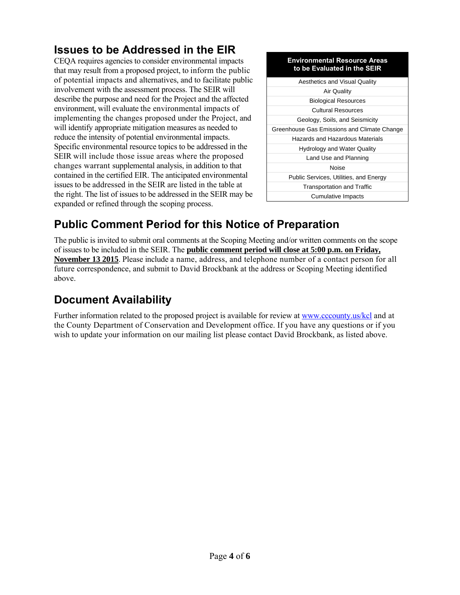### **Issues to be Addressed in the EIR**

CEQA requires agencies to consider environmental impacts that may result from a proposed project, to inform the public of potential impacts and alternatives, and to facilitate public involvement with the assessment process. The SEIR will describe the purpose and need for the Project and the affected environment, will evaluate the environmental impacts of implementing the changes proposed under the Project, and will identify appropriate mitigation measures as needed to reduce the intensity of potential environmental impacts. Specific environmental resource topics to be addressed in the SEIR will include those issue areas where the proposed changes warrant supplemental analysis, in addition to that contained in the certified EIR. The anticipated environmental issues to be addressed in the SEIR are listed in the table at the right. The list of issues to be addressed in the SEIR may be expanded or refined through the scoping process.

#### **Environmental Resource Areas to be Evaluated in the SEIR**

| <b>Aesthetics and Visual Quality</b>        |
|---------------------------------------------|
| <b>Air Quality</b>                          |
| <b>Biological Resources</b>                 |
| <b>Cultural Resources</b>                   |
| Geology, Soils, and Seismicity              |
| Greenhouse Gas Emissions and Climate Change |
| Hazards and Hazardous Materials             |
| <b>Hydrology and Water Quality</b>          |
| Land Use and Planning                       |
| Noise                                       |
| Public Services, Utilities, and Energy      |
| <b>Transportation and Traffic</b>           |
| Cumulative Impacts                          |

### **Public Comment Period for this Notice of Preparation**

The public is invited to submit oral comments at the Scoping Meeting and/or written comments on the scope of issues to be included in the SEIR. The **public comment period will close at 5:00 p.m. on Friday, November 13 2015**. Please include a name, address, and telephone number of a contact person for all future correspondence, and submit to David Brockbank at the address or Scoping Meeting identified above.

### **Document Availability**

Further information related to the proposed project is available for review at www.cccounty.us/kcl and at the County Department of Conservation and Development office. If you have any questions or if you wish to update your information on our mailing list please contact David Brockbank, as listed above.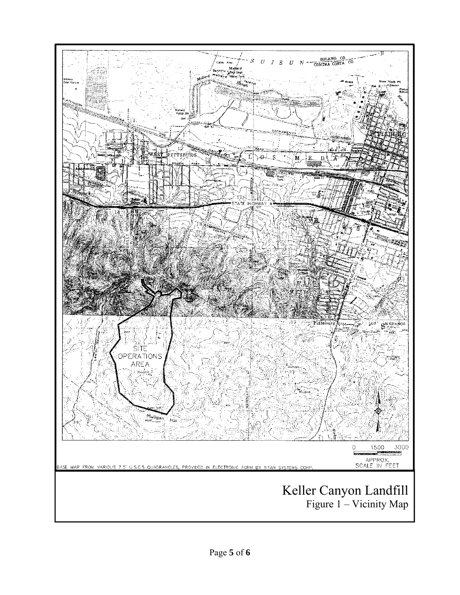